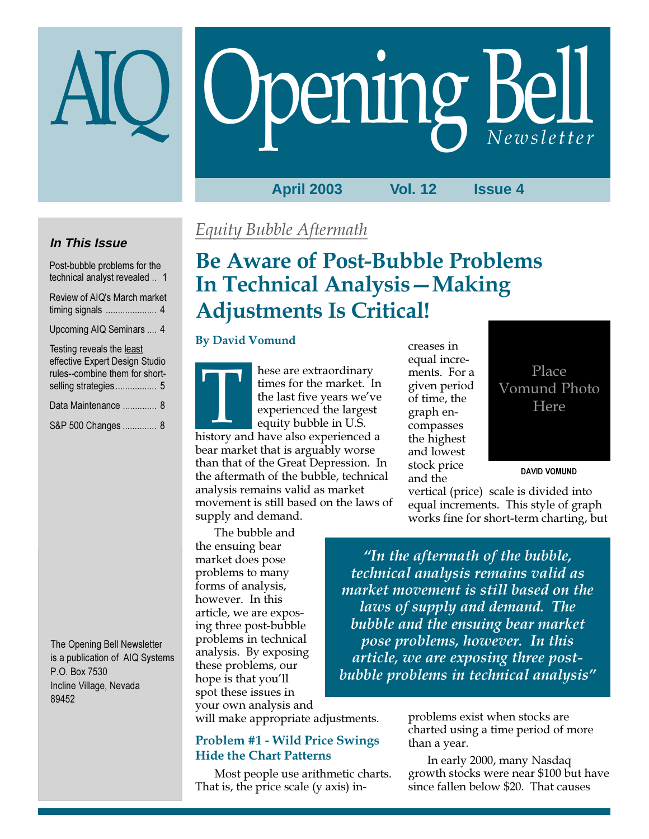# Opening Bell

# **April 2003 Vol. 12 Issue 4**

# **In This Issue**

Post-bubble problems for the technical analyst revealed .. 1 Review of AIQ's March market timing signals ..................... 4

Upcoming AIQ Seminars .... 4

| Testing reveals the least      |
|--------------------------------|
| effective Expert Design Studio |
| rules--combine them for short- |
|                                |
| Data Maintenance  8            |
| S&P 500 Changes  8             |

The Opening Bell Newsletter is a publication of AIQ Systems P.O. Box 7530 Incline Village, Nevada 89452

# Equity Bubble Aftermath

# Be Aware of Post-Bubble Problems In Technical Analysis—Making Adjustments Is Critical!

# By David Vomund

The bubble and

the ensuing bear market does pose problems to many forms of analysis, however. In this article, we are exposing three post-bubble problems in technical analysis. By exposing these problems, our hope is that you'll spot these issues in

hese are extraordinary times for the market. In the last five years we've experienced the largest equity bubble in U.S. times for the market. In<br>the last five years we've<br>experienced the largest<br>equity bubble in U.S.<br>history and have also experienced a bear market that is arguably worse than that of the Great Depression. In the aftermath of the bubble, technical analysis remains valid as market movement is still based on the laws of supply and demand.

creases in equal increments. For a given period of time, the graph encompasses the highest and lowest stock price and the

Place Vomund Photo Here

DAVID VOMUND

vertical (price) scale is divided into equal increments. This style of graph works fine for short-term charting, but

"In the aftermath of the bubble, technical analysis remains valid as market movement is still based on the laws of supply and demand. The bubble and the ensuing bear market pose problems, however. In this article, we are exposing three postbubble problems in technical analysis"

your own analysis and will make appropriate adjustments.

# Problem #1 - Wild Price Swings Hide the Chart Patterns

Most people use arithmetic charts. That is, the price scale (y axis) inproblems exist when stocks are charted using a time period of more than a year.

In early 2000, many Nasdaq growth stocks were near \$100 but have since fallen below \$20. That causes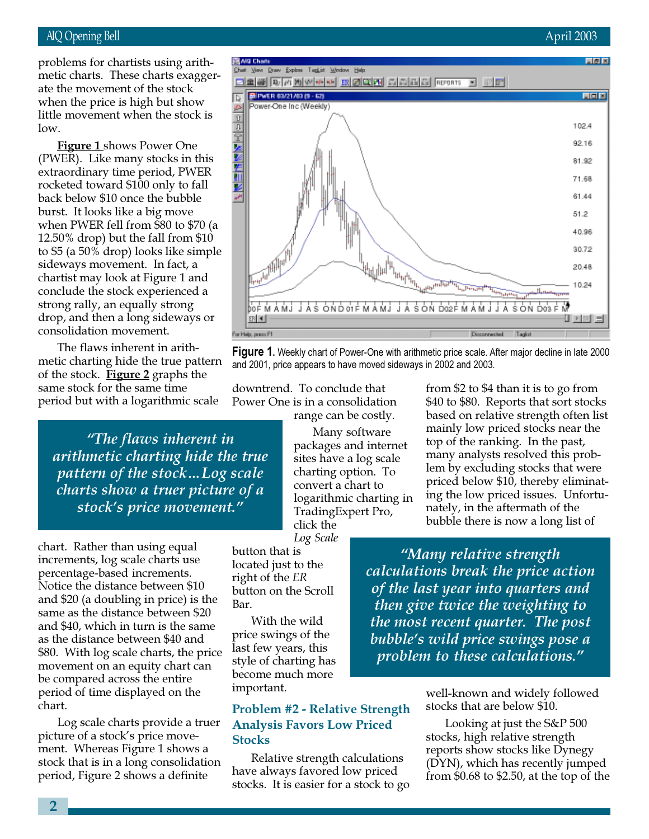## when the price is high but show<br>Viil problems for chartists using arithmetic charts. These charts exaggerate the movement of the stock little movement when the stock is low.

**Figure 1** shows Power One (PWER). Like many stocks in this extraordinary time period, PWER rocketed toward \$100 only to fall back below \$10 once the bubble burst. It looks like a big move when PWER fell from \$80 to \$70 (a 12.50% drop) but the fall from \$10 to \$5 (a 50% drop) looks like simple sideways movement. In fact, a chartist may look at Figure 1 and conclude the stock experienced a strong rally, an equally strong drop, and then a long sideways or consolidation movement.

The flaws inherent in arithmetic charting hide the true pattern of the stock. **Figure 2** graphs the same stock for the same time period but with a logarithmic scale

"The flaws inherent in arithmetic charting hide the true pattern of the stock…Log scale charts show a truer picture of a stock's price movement."

chart. Rather than using equal increments, log scale charts use percentage-based increments. Notice the distance between \$10 and \$20 (a doubling in price) is the same as the distance between \$20 and \$40, which in turn is the same as the distance between \$40 and \$80. With log scale charts, the price movement on an equity chart can be compared across the entire period of time displayed on the chart.

Log scale charts provide a truer picture of a stock's price movement. Whereas Figure 1 shows a stock that is in a long consolidation period, Figure 2 shows a definite

downtrend. To conclude that

Many software packages and internet sites have a log scale charting option. To convert a chart to logarithmic charting in TradingExpert Pro, click the

Log Scale button that is located just to the right of the ER button on the Scroll Bar.

With the wild price swings of the last few years, this style of charting has become much more important.

# Problem #2 - Relative Strength Analysis Favors Low Priced **Stocks**

Relative strength calculations have always favored low priced stocks. It is easier for a stock to go from \$2 to \$4 than it is to go from \$40 to \$80. Reports that sort stocks based on relative strength often list mainly low priced stocks near the top of the ranking. In the past, many analysts resolved this problem by excluding stocks that were priced below \$10, thereby eliminating the low priced issues. Unfortunately, in the aftermath of the bubble there is now a long list of

"Many relative strength calculations break the price action of the last year into quarters and then give twice the weighting to the most recent quarter. The post bubble's wild price swings pose a problem to these calculations."

> well-known and widely followed stocks that are below \$10.

Looking at just the S&P 500 stocks, high relative strength reports show stocks like Dynegy (DYN), which has recently jumped from \$0.68 to \$2.50, at the top of the





**Figure 1.** Weekly chart of Power-One with arithmetic price scale. After major decline in late 2000 and 2001, price appears to have moved sideways in 2002 and 2003.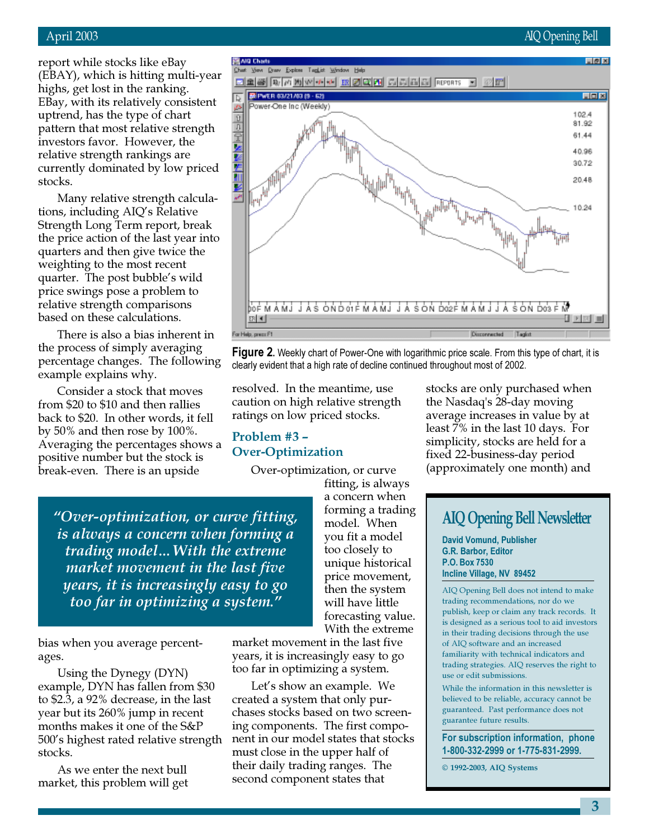report while stocks like eBay (EBAY), which is hitting multi-year highs, get lost in the ranking. EBay, with its relatively consistent uptrend, has the type of chart pattern that most relative strength investors favor. However, the relative strength rankings are currently dominated by low priced stocks.

Many relative strength calculations, including AIQ's Relative Strength Long Term report, break the price action of the last year into quarters and then give twice the weighting to the most recent quarter. The post bubble's wild price swings pose a problem to relative strength comparisons based on these calculations.

There is also a bias inherent in the process of simply averaging percentage changes. The following example explains why.

Consider a stock that moves from \$20 to \$10 and then rallies back to \$20. In other words, it fell by 50% and then rose by 100%. Averaging the percentages shows a positive number but the stock is break-even. There is an upside



**Figure 2.** Weekly chart of Power-One with logarithmic price scale. From this type of chart, it is clearly evident that a high rate of decline continued throughout most of 2002.

resolved. In the meantime, use caution on high relative strength ratings on low priced stocks.

# Problem #3 – Over-Optimization

Over-optimization, or curve

"Over-optimization, or curve fitting, is always a concern when forming a trading model…With the extreme market movement in the last five years, it is increasingly easy to go too far in optimizing a system."

bias when you average percentages.

Using the Dynegy (DYN) example, DYN has fallen from \$30 to \$2.3, a 92% decrease, in the last year but its 260% jump in recent months makes it one of the S&P 500's highest rated relative strength stocks.

As we enter the next bull market, this problem will get fitting, is always a concern when forming a trading model. When you fit a model too closely to unique historical price movement, then the system will have little forecasting value. With the extreme

market movement in the last five years, it is increasingly easy to go too far in optimizing a system.

Let's show an example. We created a system that only purchases stocks based on two screening components. The first component in our model states that stocks must close in the upper half of their daily trading ranges. The second component states that

stocks are only purchased when the Nasdaq's 28-day moving average increases in value by at least 7% in the last 10 days. For simplicity, stocks are held for a fixed 22-business-day period (approximately one month) and

# AIQ Opening Bell Newsletter

David Vomund, Publisher G.R. Barbor, Editor P.O. Box 7530 Incline Village, NV 89452

AIQ Opening Bell does not intend to make trading recommendations, nor do we publish, keep or claim any track records. It is designed as a serious tool to aid investors in their trading decisions through the use of AIQ software and an increased familiarity with technical indicators and trading strategies. AIQ reserves the right to use or edit submissions.

While the information in this newsletter is believed to be reliable, accuracy cannot be guaranteed. Past performance does not guarantee future results.

For subscription information, phone 1-800-332-2999 or 1-775-831-2999.

© 1992-2003, AIQ Systems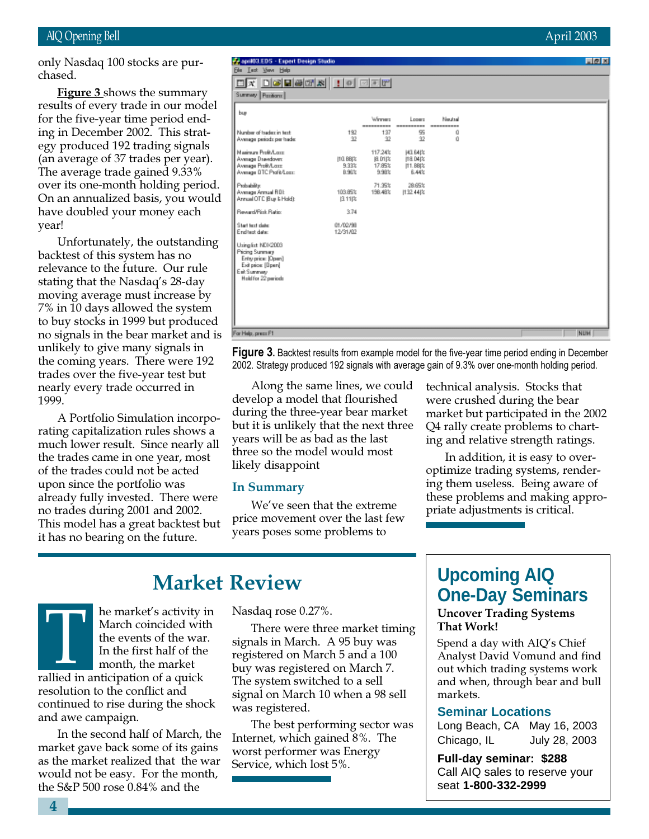## AIQ Opening Bell April 2003

only Nasdaq 100 stocks are purchased.

results of every trade in our model **Figure 3** shows the summary for the five-year time period ending in December 2002. This strategy produced 192 trading signals (an average of 37 trades per year). The average trade gained 9.33% over its one-month holding period. On an annualized basis, you would have doubled your money each year!

Unfortunately, the outstanding backtest of this system has no relevance to the future. Our rule stating that the Nasdaq's 28-day moving average must increase by 7% in 10 days allowed the system to buy stocks in 1999 but produced no signals in the bear market and is unlikely to give many signals in the coming years. There were 192 trades over the five-year test but nearly every trade occurred in 1999.

A Portfolio Simulation incorporating capitalization rules shows a much lower result. Since nearly all the trades came in one year, most of the trades could not be acted upon since the portfolio was already fully invested. There were no trades during 2001 and 2002. This model has a great backtest but it has no bearing on the future.

#### April 13.EDS - Expert Design Studio 日回回 **Ele Lest Your Help** <u>ox deebs id dee</u> Summary Pasitions | buy Looms Winner: Neutral Number of tradez in text 192 137 岛 Ű Average periods per trade  $\overline{32}$  $\overline{\mathbf{2}}$  $\overline{32}$ ñ 117.24% Marinum Profit/Long **H3.64t%** 17.85% Avenage Drawdown<br>Avenage Profit/Long [10.88|% 18.04% 9.33% |11.88|% Average BTC Profit/Local 8.98% 9.98% 6.44% 71.95% 28.69% Probability .<br>Avenage Annual ROL<br>Annual OTC (Buy & Hold): 103,99% 1132,4402 198.48% 图 11段 **Severd/Pick Ratio** 3.74 **Start text clate** 01/02/98 End test date 12/31/02 Using list NDX2003 Pricing Summary Entryprice: [Open] Exit price: [Dpen] Eait Summary<br>Hold for 22 periods For Help, press F1 NUM

Figure 3. Backtest results from example model for the five-year time period ending in December 2002. Strategy produced 192 signals with average gain of 9.3% over one-month holding period.

Along the same lines, we could develop a model that flourished during the three-year bear market but it is unlikely that the next three years will be as bad as the last three so the model would most likely disappoint

#### In Summary

We've seen that the extreme price movement over the last few years poses some problems to

technical analysis. Stocks that were crushed during the bear market but participated in the 2002 Q4 rally create problems to charting and relative strength ratings.

In addition, it is easy to overoptimize trading systems, rendering them useless. Being aware of these problems and making appropriate adjustments is critical.

# Market Review

March coincided with<br>the events of the way<br>In the first half of the<br>month, the market<br>rallied in anticipation of a quick he market's activity in March coincided with the events of the war. In the first half of the month, the market resolution to the conflict and continued to rise during the shock and awe campaign.

In the second half of March, the market gave back some of its gains as the market realized that the war would not be easy. For the month, the S&P 500 rose 0.84% and the

Nasdaq rose 0.27%.

There were three market timing signals in March. A 95 buy was registered on March 5 and a 100 buy was registered on March 7. The system switched to a sell signal on March 10 when a 98 sell was registered.

The best performing sector was Internet, which gained 8%. The worst performer was Energy Service, which lost 5%.

# **Upcoming AIQ One-Day Seminars**

Uncover Trading Systems That Work!

Spend a day with AIQ's Chief Analyst David Vomund and find out which trading systems work and when, through bear and bull markets.

### **Seminar Locations**

Long Beach, CA May 16, 2003 Chicago, IL July 28, 2003

**Full-day seminar: \$288** Call AIQ sales to reserve your seat **1-800-332-2999**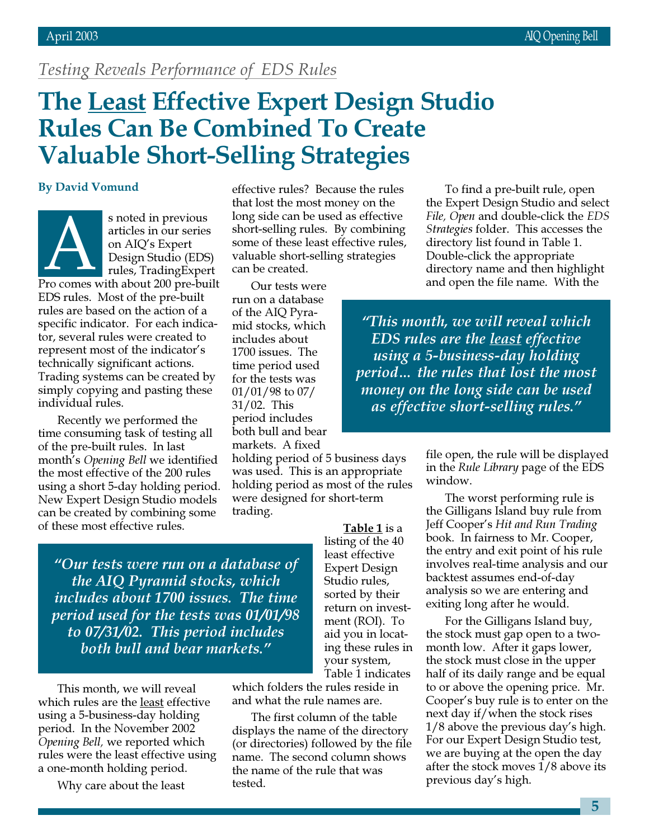# Testing Reveals Performance of EDS Rules

# The Least Effective Expert Design Studio Rules Can Be Combined To Create Valuable Short-Selling Strategies

s noted in previous articles in our series on AIQ's Expert Design Studio (EDS) rules, TradingExpert Fro comes with about 200 pre-built

EDS rules. Most of the pre-built rules are based on the action of a specific indicator. For each indicator, several rules were created to represent most of the indicator's technically significant actions. Trading systems can be created by simply copying and pasting these individual rules.

Recently we performed the time consuming task of testing all of the pre-built rules. In last month's Opening Bell we identified the most effective of the 200 rules using a short 5-day holding period. New Expert Design Studio models can be created by combining some of these most effective rules.

By David Vomund effective rules? Because the rules that lost the most money on the long side can be used as effective short-selling rules. By combining some of these least effective rules, valuable short-selling strategies can be created.

> Our tests were run on a database of the AIQ Pyramid stocks, which includes about 1700 issues. The time period used for the tests was 01/01/98 to 07/ 31/02. This period includes both bull and bear markets. A fixed

holding period of 5 business days was used. This is an appropriate holding period as most of the rules were designed for short-term trading.

"Our tests were run on a database of the AIQ Pyramid stocks, which includes about 1700 issues. The time period used for the tests was 01/01/98 to 07/31/02. This period includes both bull and bear markets."

This month, we will reveal which rules are the least effective using a 5-business-day holding period. In the November 2002 Opening Bell, we reported which rules were the least effective using a one-month holding period.

Why care about the least

listing of the 40 least effective Expert Design Studio rules, sorted by their return on investment (ROI). To aid you in locating these rules in your system, Table 1 indicates

Table 1 is a

which folders the rules reside in and what the rule names are.

The first column of the table displays the name of the directory (or directories) followed by the file name. The second column shows the name of the rule that was tested.

To find a pre-built rule, open the Expert Design Studio and select File, Open and double-click the EDS Strategies folder. This accesses the directory list found in Table 1. Double-click the appropriate directory name and then highlight and open the file name. With the

"This month, we will reveal which EDS rules are the least effective using a 5-business-day holding period… the rules that lost the most money on the long side can be used as effective short-selling rules."

> file open, the rule will be displayed in the Rule Library page of the EDS window.

> The worst performing rule is the Gilligans Island buy rule from Jeff Cooper's Hit and Run Trading book. In fairness to Mr. Cooper, the entry and exit point of his rule involves real-time analysis and our backtest assumes end-of-day analysis so we are entering and exiting long after he would.

> For the Gilligans Island buy, the stock must gap open to a twomonth low. After it gaps lower, the stock must close in the upper half of its daily range and be equal to or above the opening price. Mr. Cooper's buy rule is to enter on the next day if/when the stock rises 1/8 above the previous day's high. For our Expert Design Studio test, we are buying at the open the day after the stock moves 1/8 above its previous day's high.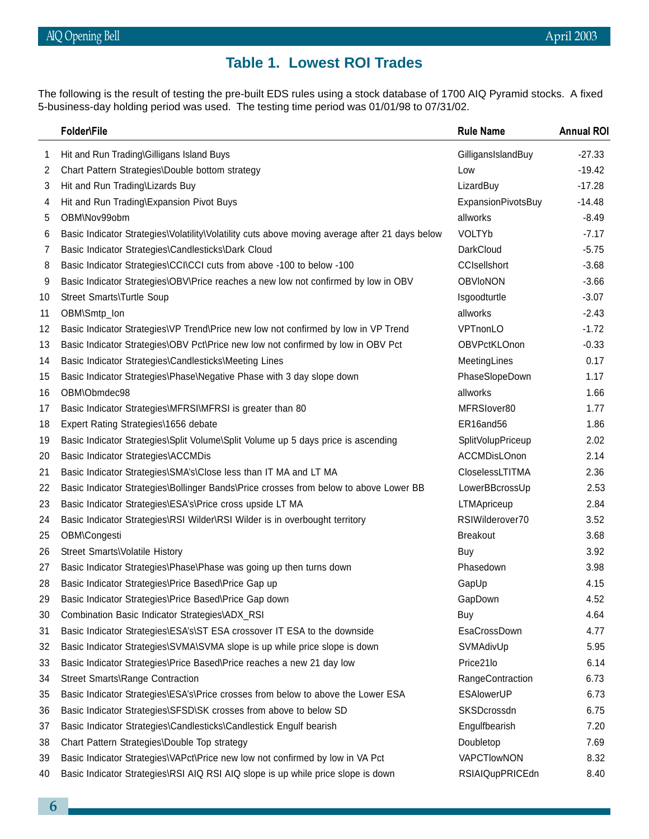# **Table 1. Lowest ROI Trades**

The following is the result of testing the pre-built EDS rules using a stock database of 1700 AIQ Pyramid stocks. A fixed<br>5-business-day holding period was used. The testing time period was 01/01/98 to 07/31/02. 5-business-day holding period was used. The testing time period was 01/01/98 to 07/31/02.

|    | Folder\File                                                                                    | <b>Rule Name</b>       | <b>Annual ROI</b> |
|----|------------------------------------------------------------------------------------------------|------------------------|-------------------|
| 1  | Hit and Run Trading\Gilligans Island Buys                                                      | GilligansIslandBuy     | $-27.33$          |
| 2  | Chart Pattern Strategies\Double bottom strategy                                                | Low                    | $-19.42$          |
| 3  | Hit and Run Trading\Lizards Buy                                                                | LizardBuy              | $-17.28$          |
| 4  | Hit and Run Trading\Expansion Pivot Buys                                                       | ExpansionPivotsBuy     | $-14.48$          |
| 5  | OBM\Nov99obm                                                                                   | allworks               | $-8.49$           |
| 6  | Basic Indicator Strategies\Volatility\Volatility cuts above moving average after 21 days below | <b>VOLTYb</b>          | $-7.17$           |
| 7  | Basic Indicator Strategies\Candlesticks\Dark Cloud                                             | DarkCloud              | $-5.75$           |
| 8  | Basic Indicator Strategies\CCI\CCI cuts from above -100 to below -100                          | <b>CCIsellshort</b>    | $-3.68$           |
| 9  | Basic Indicator Strategies\OBV\Price reaches a new low not confirmed by low in OBV             | <b>OBVIoNON</b>        | $-3.66$           |
| 10 | Street Smarts\Turtle Soup                                                                      | Isgoodturtle           | $-3.07$           |
| 11 | OBM\Smtp_lon                                                                                   | allworks               | $-2.43$           |
| 12 | Basic Indicator Strategies\VP Trend\Price new low not confirmed by low in VP Trend             | VPTnonLO               | $-1.72$           |
| 13 | Basic Indicator Strategies\OBV Pct\Price new low not confirmed by low in OBV Pct               | <b>OBVPctKLOnon</b>    | $-0.33$           |
| 14 | Basic Indicator Strategies\Candlesticks\Meeting Lines                                          | MeetingLines           | 0.17              |
| 15 | Basic Indicator Strategies\Phase\Negative Phase with 3 day slope down                          | PhaseSlopeDown         | 1.17              |
| 16 | OBM\Obmdec98                                                                                   | allworks               | 1.66              |
| 17 | Basic Indicator Strategies\MFRSI\MFRSI is greater than 80                                      | MFRSlover80            | 1.77              |
| 18 | Expert Rating Strategies\1656 debate                                                           | ER16and56              | 1.86              |
| 19 | Basic Indicator Strategies\Split Volume\Split Volume up 5 days price is ascending              | SplitVolupPriceup      | 2.02              |
| 20 | Basic Indicator Strategies\ACCMDis                                                             | <b>ACCMDisLOnon</b>    | 2.14              |
| 21 | Basic Indicator Strategies\SMA's\Close less than IT MA and LT MA                               | <b>CloselessLTITMA</b> | 2.36              |
| 22 | Basic Indicator Strategies\Bollinger Bands\Price crosses from below to above Lower BB          | LowerBBcrossUp         | 2.53              |
| 23 | Basic Indicator Strategies\ESA's\Price cross upside LT MA                                      | LTMApriceup            | 2.84              |
| 24 | Basic Indicator Strategies\RSI Wilder\RSI Wilder is in overbought territory                    | RSIWilderover70        | 3.52              |
| 25 | OBM\Congesti                                                                                   | <b>Breakout</b>        | 3.68              |
| 26 | Street Smarts\Volatile History                                                                 | Buy                    | 3.92              |
| 27 | Basic Indicator Strategies\Phase\Phase was going up then turns down                            | Phasedown              | 3.98              |
| 28 | Basic Indicator Strategies\Price Based\Price Gap up                                            | GapUp                  | 4.15              |
| 29 | Basic Indicator Strategies\Price Based\Price Gap down                                          | GapDown                | 4.52              |
| 30 | Combination Basic Indicator Strategies\ADX_RSI                                                 | Buy                    | 4.64              |
| 31 | Basic Indicator Strategies\ESA's\ST ESA crossover IT ESA to the downside                       | EsaCrossDown           | 4.77              |
| 32 | Basic Indicator Strategies\SVMA\SVMA slope is up while price slope is down                     | SVMAdivUp              | 5.95              |
| 33 | Basic Indicator Strategies\Price Based\Price reaches a new 21 day low                          | Price21lo              | 6.14              |
| 34 | Street Smarts\Range Contraction                                                                | RangeContraction       | 6.73              |
| 35 | Basic Indicator Strategies\ESA's\Price crosses from below to above the Lower ESA               | ESAlowerUP             | 6.73              |
| 36 | Basic Indicator Strategies\SFSD\SK crosses from above to below SD                              | SKSDcrossdn            | 6.75              |
| 37 | Basic Indicator Strategies\Candlesticks\Candlestick Engulf bearish                             | Engulfbearish          | 7.20              |
| 38 | Chart Pattern Strategies\Double Top strategy                                                   | Doubletop              | 7.69              |
| 39 | Basic Indicator Strategies\VAPct\Price new low not confirmed by low in VA Pct                  | VAPCTIowNON            | 8.32              |
| 40 | Basic Indicator Strategies\RSI AIQ RSI AIQ slope is up while price slope is down               | <b>RSIAIQupPRICEdn</b> | 8.40              |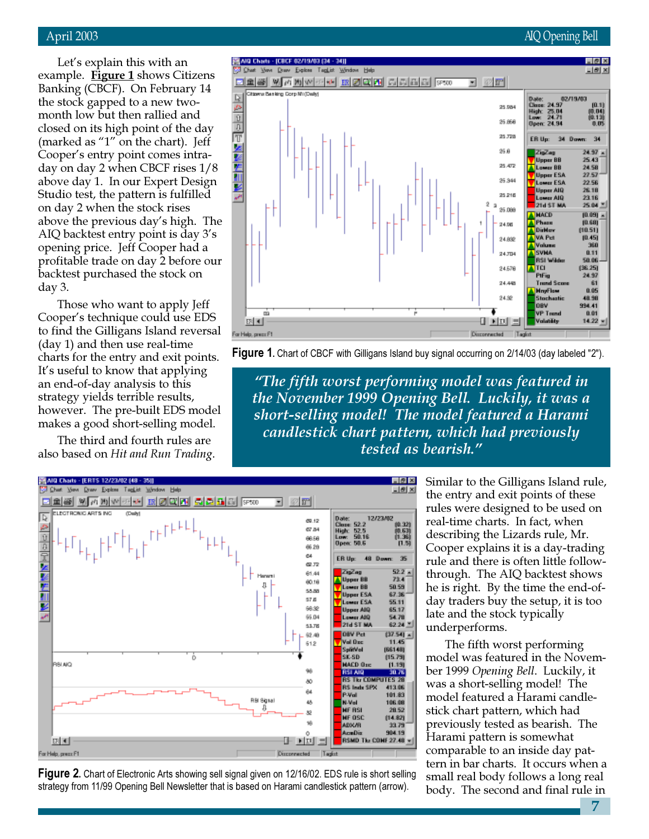# April 2003 AIQ Opening Bell

Let's explain this with an example. Figure 1 shows Citizens Banking (CBCF). On February 14 the stock gapped to a new twomonth low but then rallied and closed on its high point of the day (marked as "1" on the chart). Jeff Cooper's entry point comes intraday on day 2 when CBCF rises 1/8 above day 1. In our Expert Design Studio test, the pattern is fulfilled on day 2 when the stock rises above the previous day's high. The AIQ backtest entry point is day 3's opening price. Jeff Cooper had a profitable trade on day 2 before our backtest purchased the stock on day 3.

Those who want to apply Jeff Cooper's technique could use EDS to find the Gilligans Island reversal (day 1) and then use real-time charts for the entry and exit points. It's useful to know that applying an end-of-day analysis to this strategy yields terrible results, however. The pre-built EDS model makes a good short-selling model.

The third and fourth rules are also based on Hit and Run Trading.





"The fifth worst performing model was featured in the November 1999 Opening Bell. Luckily, it was a short-selling model! The model featured a Harami candlestick chart pattern, which had previously tested as bearish."



**Figure 2.** Chart of Electronic Arts showing sell signal given on 12/16/02. EDS rule is short selling strategy from 11/99 Opening Bell Newsletter that is based on Harami candlestick pattern (arrow).

Similar to the Gilligans Island rule, the entry and exit points of these rules were designed to be used on real-time charts. In fact, when describing the Lizards rule, Mr. Cooper explains it is a day-trading rule and there is often little followthrough. The AIQ backtest shows he is right. By the time the end-ofday traders buy the setup, it is too late and the stock typically underperforms.

The fifth worst performing model was featured in the November 1999 Opening Bell. Luckily, it was a short-selling model! The model featured a Harami candlestick chart pattern, which had previously tested as bearish. The Harami pattern is somewhat comparable to an inside day pattern in bar charts. It occurs when a small real body follows a long real body. The second and final rule in

7